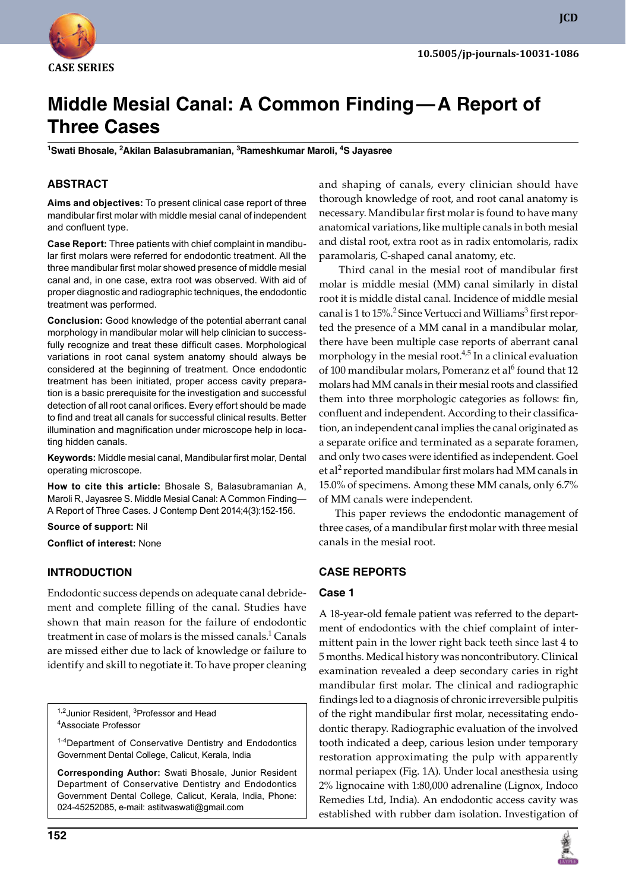

# **Middle Mesial Canal: A Common Finding — A Report of Three Cases**

**<sup>1</sup>Swati Bhosale, 2Akilan Balasubramanian, 3Rameshkumar Maroli, 4S Jayasree**

# **ABSTRACT**

**Aims and objectives:** To present clinical case report of three mandibular first molar with middle mesial canal of independent and confluent type.

**Case Report:** Three patients with chief complaint in mandibular first molars were referred for endodontic treatment. All the three mandibular first molar showed presence of middle mesial canal and, in one case, extra root was observed. With aid of proper diagnostic and radiographic techniques, the endodontic treatment was performed.

**Conclusion:** Good knowledge of the potential aberrant canal morphology in mandibular molar will help clinician to successfully recognize and treat these difficult cases. Morphological variations in root canal system anatomy should always be considered at the beginning of treatment. Once endodontic treatment has been initiated, proper access cavity preparation is a basic prerequisite for the investigation and successful detection of all root canal orifices. Every effort should be made to find and treat all canals for successful clinical results. Better illumination and magnification under microscope help in locating hidden canals.

Keywords: Middle mesial canal, Mandibular first molar, Dental operating microscope.

**How to cite this article:** Bhosale S, Balasubramanian A, Maroli R, Jayasree S. Middle Mesial Canal: A Common Finding— A Report of Three Cases. J Contemp Dent 2014;4(3):152-156.

**Source of support:** Nil **Conflict of interest:** None

## **InTRoduCTIon**

Endodontic success depends on adequate canal debridement and complete filling of the canal. Studies have shown that main reason for the failure of endodontic treatment in case of molars is the missed canals.<sup>1</sup> Canals are missed either due to lack of knowledge or failure to identify and skill to negotiate it. To have proper cleaning

<sup>1,2</sup> Junior Resident, <sup>3</sup>Professor and Head <sup>4</sup>Associate Professor

<sup>1-4</sup>Department of Conservative Dentistry and Endodontics Government Dental College, Calicut, Kerala, India

**Corresponding Author:** Swati Bhosale, Junior Resident Department of Conservative Dentistry and Endodontics Government Dental College, Calicut, Kerala, India, Phone: 024-45252085, e-mail: astitwaswati@gmail.com

and shaping of canals, every clinician should have thorough knowledge of root, and root canal anatomy is necessary. Mandibular first molar is found to have many anatomical variations, like multiple canals in both mesial and distal root, extra root as in radix entomolaris, radix paramolaris, C-shaped canal anatomy, etc.

 Third canal in the mesial root of mandibular first molar is middle mesial (MM) canal similarly in distal root it is middle distal canal. Incidence of middle mesial canal is 1 to 15%.<sup>2</sup> Since Vertucci and Williams<sup>3</sup> first reported the presence of a MM canal in a mandibular molar, there have been multiple case reports of aberrant canal morphology in the mesial root.<sup>4,5</sup> In a clinical evaluation of 100 mandibular molars, Pomeranz et al<sup>6</sup> found that 12 molars had MM canals in their mesial roots and classified them into three morphologic categories as follows: fin, confluent and independent. According to their classification, an independent canal implies the canal originated as a separate orifice and terminated as a separate foramen, and only two cases were identified as independent. Goel et al $^2$  reported mandibular first molars had MM canals in 15.0% of specimens. Among these MM canals, only 6.7% of MM canals were independent.

This paper reviews the endodontic management of three cases, of a mandibular first molar with three mesial canals in the mesial root.

# **CASe RepoRTS**

## **Case 1**

A 18-year-old female patient was referred to the department of endodontics with the chief complaint of intermittent pain in the lower right back teeth since last 4 to 5 months. Medical history was noncontributory. Clinical examination revealed a deep secondary caries in right mandibular first molar. The clinical and radiographic findings led to a diagnosis of chronic irreversible pulpitis of the right mandibular first molar, necessitating endodontic therapy. Radiographic evaluation of the involved tooth indicated a deep, carious lesion under temporary restoration approximating the pulp with apparently normal periapex (Fig. 1A). Under local anesthesia using 2% lignocaine with 1:80,000 adrenaline (Lignox, Indoco Remedies Ltd, India). An endodontic access cavity was established with rubber dam isolation. Investigation of

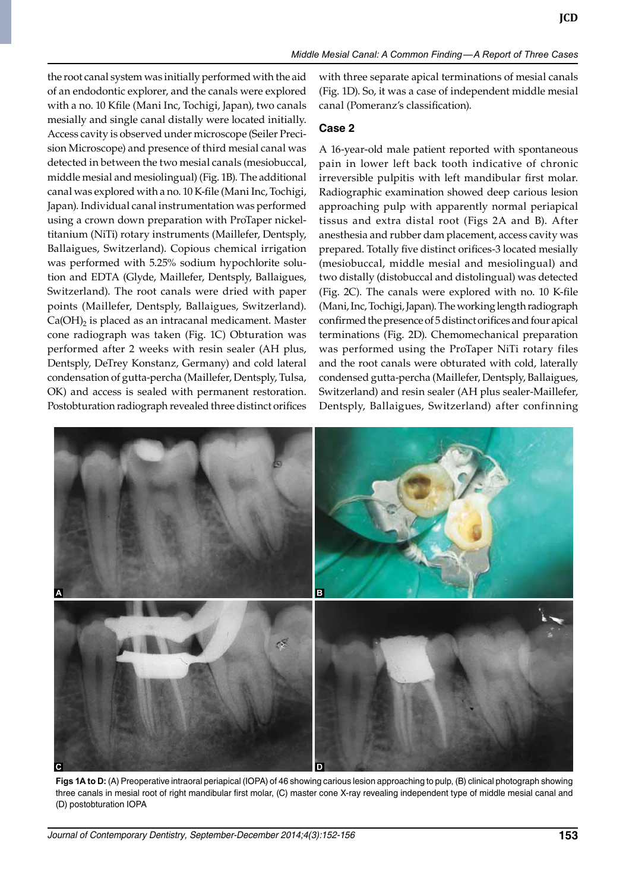the root canal system was initially performed with the aid of an endodontic explorer, and the canals were explored with a no. 10 Kfile (Mani Inc, Tochigi, Japan), two canals mesially and single canal distally were located initially. Access cavity is observed under microscope (Seiler Precision Microscope) and presence of third mesial canal was detected in between the two mesial canals (mesiobuccal, middle mesial and mesiolingual) (Fig. 1b). The additional canal was explored with a no. 10 K-file (Mani Inc, Tochigi, Japan). Individual canal instrumentation was performed using a crown down preparation with ProTaper nickeltitanium (NiTi) rotary instruments (Maillefer, Dentsply, Ballaigues, Switzerland). Copious chemical irrigation was performed with 5.25% sodium hypochlorite solution and EDTA (Glyde, Maillefer, Dentsply, Ballaigues, Switzerland). The root canals were dried with paper points (Maillefer, Dentsply, Ballaigues, Switzerland).  $Ca(OH)_2$  is placed as an intracanal medicament. Master cone radiograph was taken (Fig. 1C) Obturation was performed after 2 weeks with resin sealer (AH plus, Dentsply, DeTrey Konstanz, Germany) and cold lateral condensation of gutta-percha (Maillefer, Dentsply, Tulsa, OK) and access is sealed with permanent restoration. Postobturation radiograph revealed three distinct orifices

with three separate apical terminations of mesial canals (Fig. 1D). So, it was a case of independent middle mesial canal (Pomeranz's classification).

# **Case 2**

A 16-year-old male patient reported with spontaneous pain in lower left back tooth indicative of chronic irreversible pulpitis with left mandibular first molar. Radiographic examination showed deep carious lesion approaching pulp with apparently normal periapical tissus and extra distal root (Figs 2A and b). After anesthesia and rubber dam placement, access cavity was prepared. Totally five distinct orifices-3 located mesially (mesiobuccal, middle mesial and mesiolingual) and two distally (distobuccal and distolingual) was detected (Fig. 2C). The canals were explored with no. 10 K-file (Mani, Inc, Tochigi, Japan). The working length radiograph confirmed the presence of 5 distinct orifices and four apical terminations (Fig. 2D). Chemomechanical preparation was performed using the ProTaper NiTi rotary files and the root canals were obturated with cold, laterally condensed gutta-percha (Maillefer, Dentsply, Ballaigues, Switzerland) and resin sealer (AH plus sealer-Maillefer, Dentsply, Ballaigues, Switzerland) after confinning



Figs 1A to D: (A) Preoperative intraoral periapical (IOPA) of 46 showing carious lesion approaching to pulp, (B) clinical photograph showing three canals in mesial root of right mandibular first molar, (c) master cone X-ray revealing independent type of middle mesial canal and (D) postobturation IOpA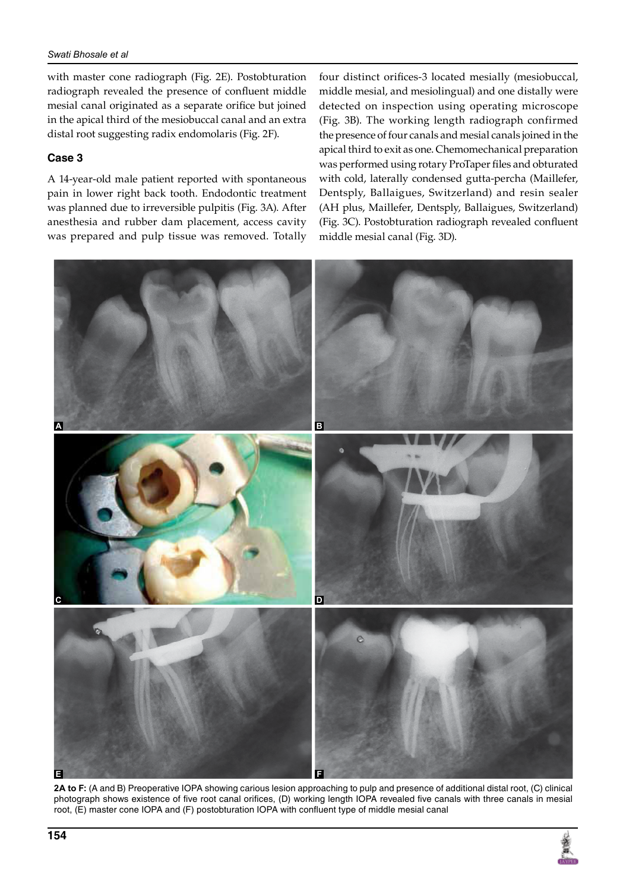#### *Swati Bhosale et al*

with master cone radiograph (Fig. 2E). Postobturation radiograph revealed the presence of confluent middle mesial canal originated as a separate orifice but joined in the apical third of the mesiobuccal canal and an extra distal root suggesting radix endomolaris (Fig. 2F).

## **Case 3**

A 14-year-old male patient reported with spontaneous pain in lower right back tooth. Endodontic treatment was planned due to irreversible pulpitis (Fig. 3A). After anesthesia and rubber dam placement, access cavity was prepared and pulp tissue was removed. Totally

four distinct orifices-3 located mesially (mesiobuccal, middle mesial, and mesiolingual) and one distally were detected on inspection using operating microscope (Fig. 3b). The working length radiograph confirmed the presence of four canals and mesial canals joined in the apical third to exit as one. Chemomechanical preparation was performed using rotary ProTaper files and obturated with cold, laterally condensed gutta-percha (Maillefer, Dentsply, Ballaigues, Switzerland) and resin sealer (AH plus, Maillefer, Dentsply, Ballaigues, Switzerland) (Fig. 3C). Postobturation radiograph revealed confluent middle mesial canal (Fig. 3D).



2A to F: (A and B) Preoperative IOPA showing carious lesion approaching to pulp and presence of additional distal root, (C) clinical photograph shows existence of five root canal orifices, (D) working length IOPA revealed five canals with three canals in mesial root, (E) master cone IOPA and (F) postobturation IOPA with confluent type of middle mesial canal

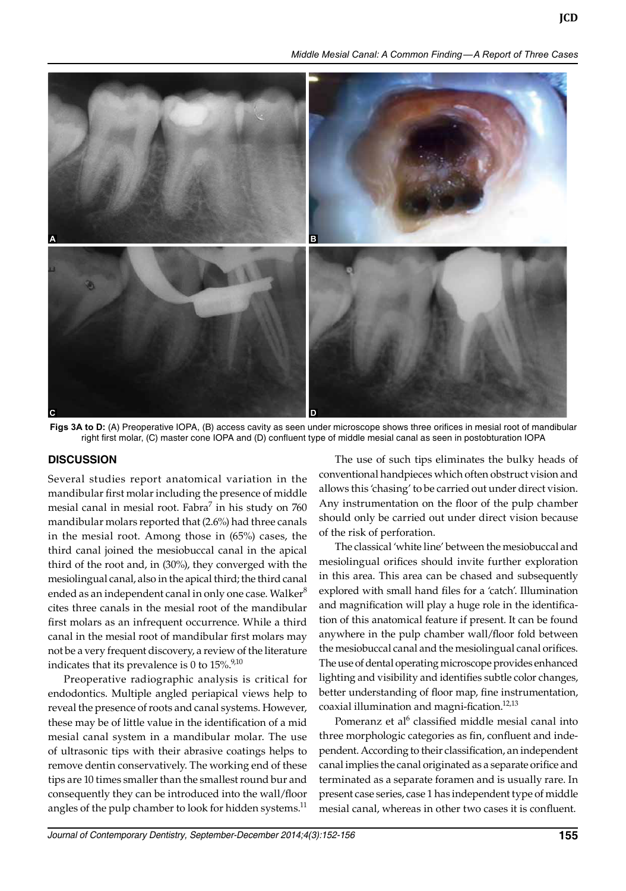*Middle Mesial Canal: A Common Finding — A Report of Three Cases*



Figs 3A to D: (A) Preoperative IOPA, (B) access cavity as seen under microscope shows three orifices in mesial root of mandibular right first molar, (C) master cone IOPA and (D) confluent type of middle mesial canal as seen in postobturation IOPA

## **dISCuSSIon**

Several studies report anatomical variation in the mandibular first molar including the presence of middle mesial canal in mesial root. Fabra $^7$  in his study on  $760$ mandibular molars reported that (2.6%) had three canals in the mesial root. Among those in (65%) cases, the third canal joined the mesiobuccal canal in the apical third of the root and, in (30%), they converged with the mesiolingual canal, also in the apical third; the third canal ended as an independent canal in only one case. Walker<sup>8</sup> cites three canals in the mesial root of the mandibular first molars as an infrequent occurrence. While a third canal in the mesial root of mandibular first molars may not be a very frequent discovery, a review of the literature indicates that its prevalence is 0 to  $15\%^{9,10}$ 

Preoperative radiographic analysis is critical for endodontics. Multiple angled periapical views help to reveal the presence of roots and canal systems. However, these may be of little value in the identification of a mid mesial canal system in a mandibular molar. The use of ultrasonic tips with their abrasive coatings helps to remove dentin conservatively. The working end of these tips are 10 times smaller than the smallest round bur and consequently they can be introduced into the wall/floor angles of the pulp chamber to look for hidden systems. $^{11}$ 

The use of such tips eliminates the bulky heads of conventional handpieces which often obstruct vision and allows this 'chasing' to be carried out under direct vision. Any instrumentation on the floor of the pulp chamber should only be carried out under direct vision because of the risk of perforation.

The classical 'white line' between the mesiobuccal and mesiolingual orifices should invite further exploration in this area. This area can be chased and subsequently explored with small hand files for a 'catch'. Illumination and magnification will play a huge role in the identification of this anatomical feature if present. It can be found anywhere in the pulp chamber wall/floor fold between the mesiobuccal canal and the mesiolingual canal orifices. The use of dental operating microscope provides enhanced lighting and visibility and identifies subtle color changes, better understanding of floor map, fine instrumentation, coaxial illumination and magni-fication.<sup>12,13</sup>

Pomeranz et al<sup>6</sup> classified middle mesial canal into three morphologic categories as fin, confluent and independent. According to their classification, an independent canal implies the canal originated as a separate orifice and terminated as a separate foramen and is usually rare. In present case series, case 1 has independent type of middle mesial canal, whereas in other two cases it is confluent.